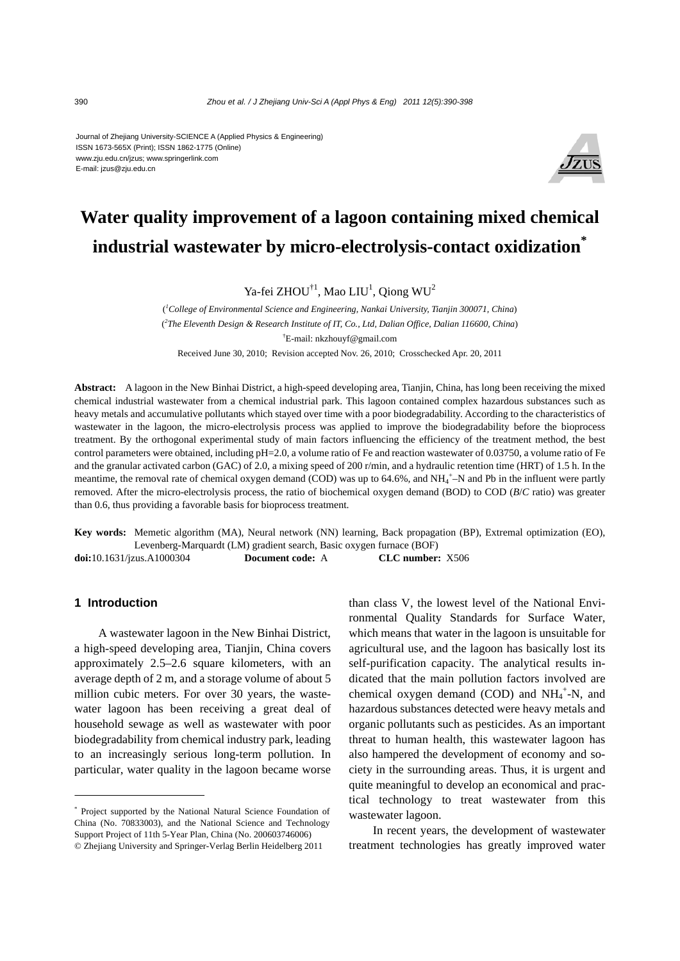#### Journal of Zhejiang University-SCIENCE A (Applied Physics & Engineering) ISSN 1673-565X (Print); ISSN 1862-1775 (Online) www.zju.edu.cn/jzus; www.springerlink.com E-mail: jzus@zju.edu.cn



# **Water quality improvement of a lagoon containing mixed chemical industrial wastewater by micro-electrolysis-contact oxidization\***

Ya-fei ZHOU<sup>†1</sup>, Mao LIU<sup>1</sup>, Qiong WU<sup>2</sup>

( *1 College of Environmental Science and Engineering, Nankai University, Tianjin 300071, China*) ( *2 The Eleventh Design & Research Institute of IT, Co., Ltd, Dalian Office, Dalian 116600, China*) † E-mail: nkzhouyf@gmail.com Received June 30, 2010; Revision accepted Nov. 26, 2010; Crosschecked Apr. 20, 2011

**Abstract:** A lagoon in the New Binhai District, a high-speed developing area, Tianjin, China, has long been receiving the mixed chemical industrial wastewater from a chemical industrial park. This lagoon contained complex hazardous substances such as heavy metals and accumulative pollutants which stayed over time with a poor biodegradability. According to the characteristics of wastewater in the lagoon, the micro-electrolysis process was applied to improve the biodegradability before the bioprocess treatment. By the orthogonal experimental study of main factors influencing the efficiency of the treatment method, the best control parameters were obtained, including pH=2.0, a volume ratio of Fe and reaction wastewater of 0.03750, a volume ratio of Fe and the granular activated carbon (GAC) of 2.0, a mixing speed of 200 r/min, and a hydraulic retention time (HRT) of 1.5 h. In the meantime, the removal rate of chemical oxygen demand (COD) was up to 64.6%, and  $NH_4^+$ –N and Pb in the influent were partly removed. After the micro-electrolysis process, the ratio of biochemical oxygen demand (BOD) to COD (*B*/*C* ratio) was greater than 0.6, thus providing a favorable basis for bioprocess treatment.

**Key words:** Memetic algorithm (MA), Neural network (NN) learning, Back propagation (BP), Extremal optimization (EO), Levenberg-Marquardt (LM) gradient search, Basic oxygen furnace (BOF) **doi:**10.1631/jzus.A1000304 **Document code:** A **CLC number:** X506

#### **1 Introduction**

A wastewater lagoon in the New Binhai District, a high-speed developing area, Tianjin, China covers approximately 2.5–2.6 square kilometers, with an average depth of 2 m, and a storage volume of about 5 million cubic meters. For over 30 years, the wastewater lagoon has been receiving a great deal of household sewage as well as wastewater with poor biodegradability from chemical industry park, leading to an increasingly serious long-term pollution. In particular, water quality in the lagoon became worse

than class V, the lowest level of the National Environmental Quality Standards for Surface Water, which means that water in the lagoon is unsuitable for agricultural use, and the lagoon has basically lost its self-purification capacity. The analytical results indicated that the main pollution factors involved are chemical oxygen demand (COD) and  $NH_4^+$ -N, and hazardous substances detected were heavy metals and organic pollutants such as pesticides. As an important threat to human health, this wastewater lagoon has also hampered the development of economy and society in the surrounding areas. Thus, it is urgent and quite meaningful to develop an economical and practical technology to treat wastewater from this wastewater lagoon.

In recent years, the development of wastewater treatment technologies has greatly improved water

<sup>\*</sup> Project supported by the National Natural Science Foundation of China (No. 70833003), and the National Science and Technology Support Project of 11th 5-Year Plan, China (No. 200603746006) © Zhejiang University and Springer-Verlag Berlin Heidelberg 2011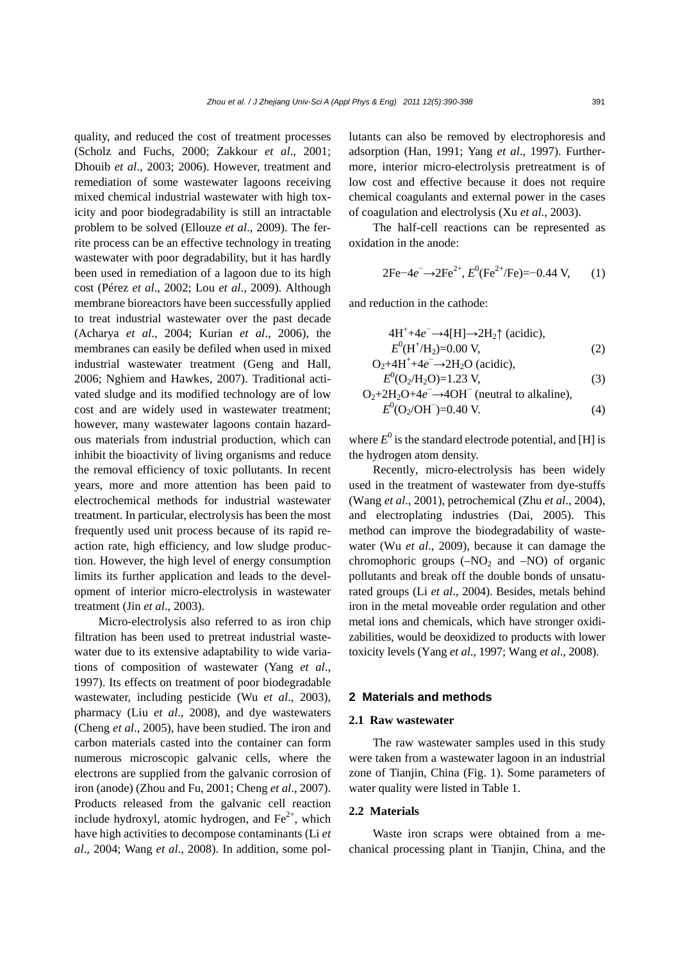quality, and reduced the cost of treatment processes (Scholz and Fuchs, 2000; Zakkour *et al*., 2001; Dhouib *et al*., 2003; 2006). However, treatment and remediation of some wastewater lagoons receiving mixed chemical industrial wastewater with high toxicity and poor biodegradability is still an intractable problem to be solved (Ellouze *et al*., 2009). The ferrite process can be an effective technology in treating wastewater with poor degradability, but it has hardly been used in remediation of a lagoon due to its high cost (Pérez *et al*., 2002; Lou *et al*., 2009). Although membrane bioreactors have been successfully applied to treat industrial wastewater over the past decade (Acharya *et al*., 2004; Kurian *et al*., 2006), the membranes can easily be defiled when used in mixed industrial wastewater treatment (Geng and Hall, 2006; Nghiem and Hawkes, 2007). Traditional activated sludge and its modified technology are of low cost and are widely used in wastewater treatment; however, many wastewater lagoons contain hazardous materials from industrial production, which can inhibit the bioactivity of living organisms and reduce the removal efficiency of toxic pollutants. In recent years, more and more attention has been paid to electrochemical methods for industrial wastewater treatment. In particular, electrolysis has been the most frequently used unit process because of its rapid reaction rate, high efficiency, and low sludge production. However, the high level of energy consumption limits its further application and leads to the development of interior micro-electrolysis in wastewater treatment (Jin *et al*., 2003).

Micro-electrolysis also referred to as iron chip filtration has been used to pretreat industrial wastewater due to its extensive adaptability to wide variations of composition of wastewater (Yang *et al*., 1997). Its effects on treatment of poor biodegradable wastewater, including pesticide (Wu *et al*., 2003), pharmacy (Liu *et al*., 2008), and dye wastewaters (Cheng *et al*., 2005), have been studied. The iron and carbon materials casted into the container can form numerous microscopic galvanic cells, where the electrons are supplied from the galvanic corrosion of iron (anode) (Zhou and Fu, 2001; Cheng *et al*., 2007). Products released from the galvanic cell reaction include hydroxyl, atomic hydrogen, and  $Fe<sup>2+</sup>$ , which have high activities to decompose contaminants (Li *et al*., 2004; Wang *et al*., 2008). In addition, some pollutants can also be removed by electrophoresis and adsorption (Han, 1991; Yang *et al*., 1997). Furthermore, interior micro-electrolysis pretreatment is of low cost and effective because it does not require chemical coagulants and external power in the cases of coagulation and electrolysis (Xu *et al*., 2003).

The half-cell reactions can be represented as oxidation in the anode:

$$
2Fe^{-}4e^{-} \rightarrow 2Fe^{2+}, E^{0}(Fe^{2+}/Fe) = -0.44 \text{ V}, \qquad (1)
$$

and reduction in the cathode:

$$
4H^{+} + 4e^{-} \rightarrow 4[H] \rightarrow 2H_{2} \uparrow
$$
 (acidic),  
\n
$$
E^{0}(H^{+}/H_{2}) = 0.00 \text{ V},
$$
 (2)

$$
O_2 + 4H^+ + 4e^- \to 2H_2O \text{ (acidic)},
$$
  
\n
$$
E^0(O_2/H_2O) = 1.23 \text{ V},
$$
\n(3)

$$
E (O_2/12O) = 1.25 \text{ V},
$$
  
\n
$$
O_2 + 2H_2O + 4e^- \rightarrow 4OH^- \text{ (neutral to alkaline)},
$$
  
\n
$$
E^0(O_2/OH^-) = 0.40 \text{ V}.
$$
 (4)

where  $E^0$  is the standard electrode potential, and [H] is the hydrogen atom density.

Recently, micro-electrolysis has been widely used in the treatment of wastewater from dye-stuffs (Wang *et al*., 2001), petrochemical (Zhu *et al*., 2004), and electroplating industries (Dai, 2005). This method can improve the biodegradability of wastewater (Wu *et al*., 2009), because it can damage the chromophoric groups  $(-NO<sub>2</sub>$  and  $-NO<sub>0</sub>)$  of organic pollutants and break off the double bonds of unsaturated groups (Li *et al*., 2004). Besides, metals behind iron in the metal moveable order regulation and other metal ions and chemicals, which have stronger oxidizabilities, would be deoxidized to products with lower toxicity levels (Yang *et al*., 1997; Wang *et al*., 2008).

## **2 Materials and methods**

#### **2.1 Raw wastewater**

The raw wastewater samples used in this study were taken from a wastewater lagoon in an industrial zone of Tianjin, China (Fig. 1). Some parameters of water quality were listed in Table 1.

### **2.2 Materials**

Waste iron scraps were obtained from a mechanical processing plant in Tianjin, China, and the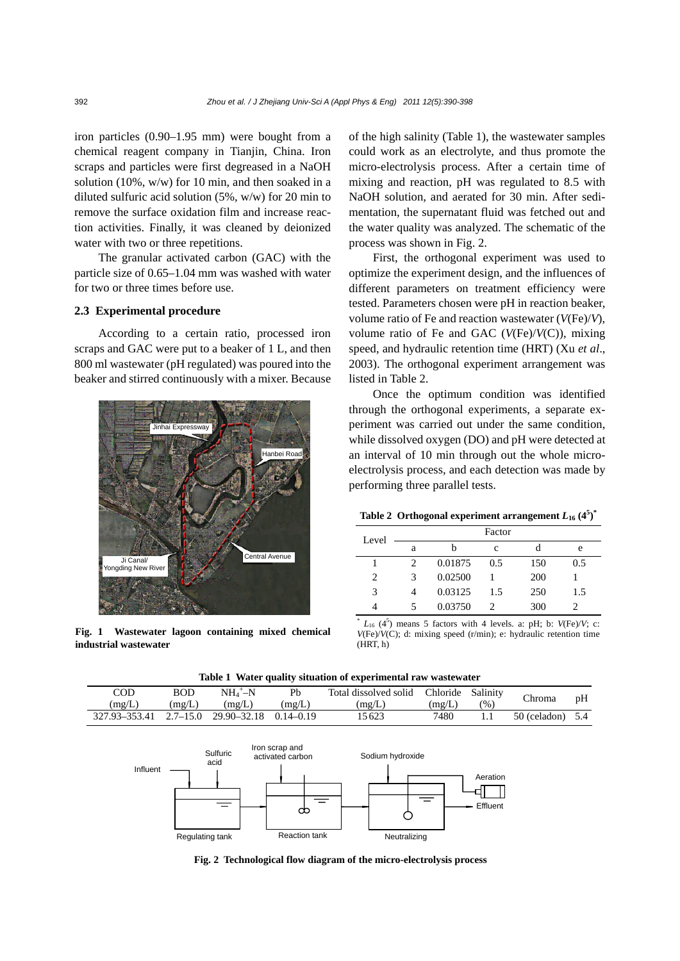iron particles (0.90–1.95 mm) were bought from a chemical reagent company in Tianjin, China. Iron scraps and particles were first degreased in a NaOH solution (10%, w/w) for 10 min, and then soaked in a diluted sulfuric acid solution (5%, w/w) for 20 min to remove the surface oxidation film and increase reaction activities. Finally, it was cleaned by deionized water with two or three repetitions.

The granular activated carbon (GAC) with the particle size of 0.65–1.04 mm was washed with water for two or three times before use.

## **2.3 Experimental procedure**

According to a certain ratio, processed iron scraps and GAC were put to a beaker of 1 L, and then 800 ml wastewater (pH regulated) was poured into the beaker and stirred continuously with a mixer. Because



**Fig. 1 Wastewater lagoon containing mixed chemical industrial wastewater** 

of the high salinity (Table 1), the wastewater samples could work as an electrolyte, and thus promote the micro-electrolysis process. After a certain time of mixing and reaction, pH was regulated to 8.5 with NaOH solution, and aerated for 30 min. After sedimentation, the supernatant fluid was fetched out and the water quality was analyzed. The schematic of the process was shown in Fig. 2.

First, the orthogonal experiment was used to optimize the experiment design, and the influences of different parameters on treatment efficiency were tested. Parameters chosen were pH in reaction beaker, volume ratio of Fe and reaction wastewater (*V*(Fe)/*V*), volume ratio of Fe and GAC (*V*(Fe)/*V*(C)), mixing speed, and hydraulic retention time (HRT) (Xu *et al*., 2003). The orthogonal experiment arrangement was listed in Table 2.

Once the optimum condition was identified through the orthogonal experiments, a separate experiment was carried out under the same condition, while dissolved oxygen (DO) and pH were detected at an interval of 10 min through out the whole microelectrolysis process, and each detection was made by performing three parallel tests.

|  |  |  | Table 2 Orthogonal experiment arrangement $L_{16}$ (4 <sup>5</sup> ) <sup>*</sup> |  |  |  |
|--|--|--|-----------------------------------------------------------------------------------|--|--|--|
|--|--|--|-----------------------------------------------------------------------------------|--|--|--|

| Level         |   |         | Factor |     |     |
|---------------|---|---------|--------|-----|-----|
|               | а | h       | c      |     | e   |
|               |   | 0.01875 | 0.5    | 150 | 0.5 |
| 2             |   | 0.02500 |        | 200 |     |
| $\mathcal{R}$ |   | 0.03125 | 1.5    | 250 | 1.5 |
|               |   | 0.03750 | 2      | 300 |     |

 $^*$   $L_{16}$  (4<sup>5</sup>) means 5 factors with 4 levels. a: pH; b:  $V(\text{Fe})/V$ ; c: *V*(Fe)/*V*(C); d: mixing speed (r/min); e: hydraulic retention time  $(HRT, h)$ 

| Table 1 Water quality situation of experimental raw wastewater |              |                       |        |                                         |        |      |                      |    |
|----------------------------------------------------------------|--------------|-----------------------|--------|-----------------------------------------|--------|------|----------------------|----|
| COD                                                            | <b>BOD</b>   | $NH_4^+$ -N           | Ph     | Total dissolved solid Chloride Salinity |        |      | Chroma               | pH |
| (mg/L)                                                         | (mg/L)       | (mg/L)                | (mg/L) | (mg/L)                                  | (mg/L) | (% ) |                      |    |
| 327.93-353.41                                                  | $2.7 - 15.0$ | 29.90–32.18 0.14–0.19 |        | 15623                                   | 7480   | 1.1  | $50$ (celadon) $5.4$ |    |



**Fig. 2 Technological flow diagram of the micro-electrolysis process**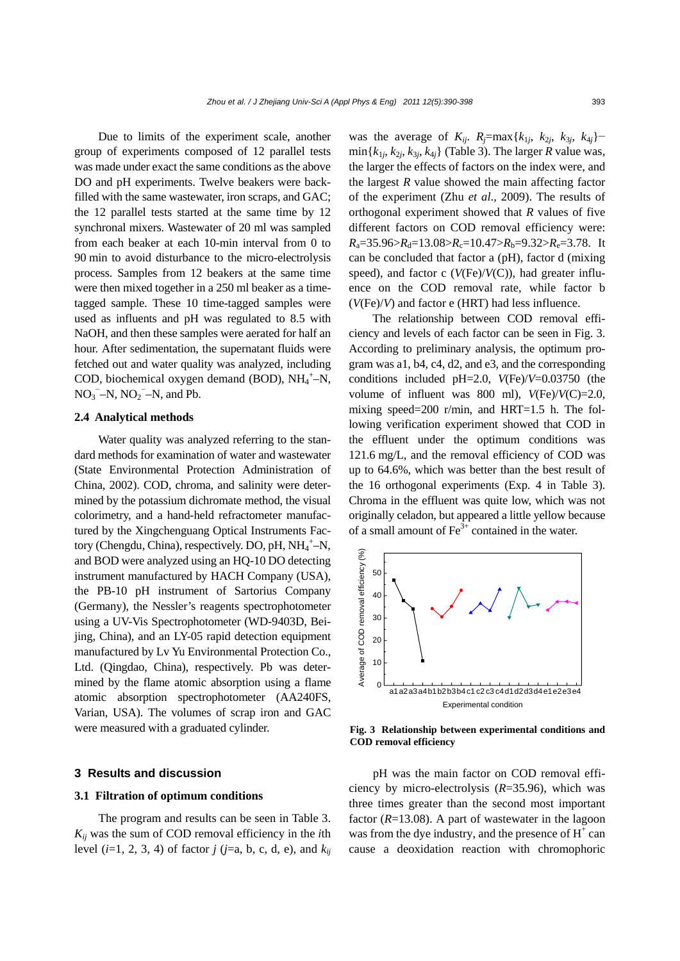Due to limits of the experiment scale, another group of experiments composed of 12 parallel tests was made under exact the same conditions as the above DO and pH experiments. Twelve beakers were backfilled with the same wastewater, iron scraps, and GAC; the 12 parallel tests started at the same time by 12 synchronal mixers. Wastewater of 20 ml was sampled from each beaker at each 10-min interval from 0 to 90 min to avoid disturbance to the micro-electrolysis process. Samples from 12 beakers at the same time were then mixed together in a 250 ml beaker as a timetagged sample. These 10 time-tagged samples were used as influents and pH was regulated to 8.5 with NaOH, and then these samples were aerated for half an hour. After sedimentation, the supernatant fluids were fetched out and water quality was analyzed, including COD, biochemical oxygen demand (BOD), NH<sub>4</sub><sup>+</sup>-N,  $NO_3$ <sup>-</sup>-N,  $NO_2$ <sup>-</sup>-N, and Pb.

## **2.4 Analytical methods**

Water quality was analyzed referring to the standard methods for examination of water and wastewater (State Environmental Protection Administration of China, 2002). COD, chroma, and salinity were determined by the potassium dichromate method, the visual colorimetry, and a hand-held refractometer manufactured by the Xingchenguang Optical Instruments Factory (Chengdu, China), respectively. DO, pH, NH<sub>4</sub><sup>+</sup>-N, and BOD were analyzed using an HQ-10 DO detecting instrument manufactured by HACH Company (USA), the PB-10 pH instrument of Sartorius Company (Germany), the Nessler's reagents spectrophotometer using a UV-Vis Spectrophotometer (WD-9403D, Beijing, China), and an LY-05 rapid detection equipment manufactured by Lv Yu Environmental Protection Co., Ltd. (Qingdao, China), respectively. Pb was determined by the flame atomic absorption using a flame atomic absorption spectrophotometer (AA240FS, Varian, USA). The volumes of scrap iron and GAC were measured with a graduated cylinder.

## **3 Results and discussion**

#### **3.1 Filtration of optimum conditions**

The program and results can be seen in Table 3. *Kij* was the sum of COD removal efficiency in the *i*th level (*i*=1, 2, 3, 4) of factor *j* (*j*=a, b, c, d, e), and *kij* was the average of  $K_{ij}$ .  $R_j = \max\{k_{1j}, k_{2j}, k_{3j}, k_{4j}\}$  $\min\{k_{1j}, k_{2j}, k_{3j}, k_{4j}\}$  (Table 3). The larger *R* value was, the larger the effects of factors on the index were, and the largest *R* value showed the main affecting factor of the experiment (Zhu *et al*., 2009). The results of orthogonal experiment showed that *R* values of five different factors on COD removal efficiency were:  $R_a = 35.96 > R_d = 13.08 > R_c = 10.47 > R_b = 9.32 > R_e = 3.78$ . It can be concluded that factor a (pH), factor d (mixing speed), and factor c (*V*(Fe)/*V*(C)), had greater influence on the COD removal rate, while factor b (*V*(Fe)/*V*) and factor e (HRT) had less influence.

The relationship between COD removal efficiency and levels of each factor can be seen in Fig. 3. According to preliminary analysis, the optimum program was a1, b4, c4, d2, and e3, and the corresponding conditions included pH=2.0, *V*(Fe)/*V*=0.03750 (the volume of influent was 800 ml),  $V(\text{Fe})/V(\text{C})=2.0$ , mixing speed=200 r/min, and HRT=1.5 h. The following verification experiment showed that COD in the effluent under the optimum conditions was 121.6 mg/L, and the removal efficiency of COD was up to 64.6%, which was better than the best result of the 16 orthogonal experiments (Exp. 4 in Table 3). Chroma in the effluent was quite low, which was not originally celadon, but appeared a little yellow because of a small amount of  $\text{Fe}^{3+}$  contained in the water.



**Fig. 3 Relationship between experimental conditions and COD removal efficiency**

pH was the main factor on COD removal efficiency by micro-electrolysis (*R*=35.96), which was three times greater than the second most important factor (*R*=13.08). A part of wastewater in the lagoon was from the dye industry, and the presence of  $H^+$  can cause a deoxidation reaction with chromophoric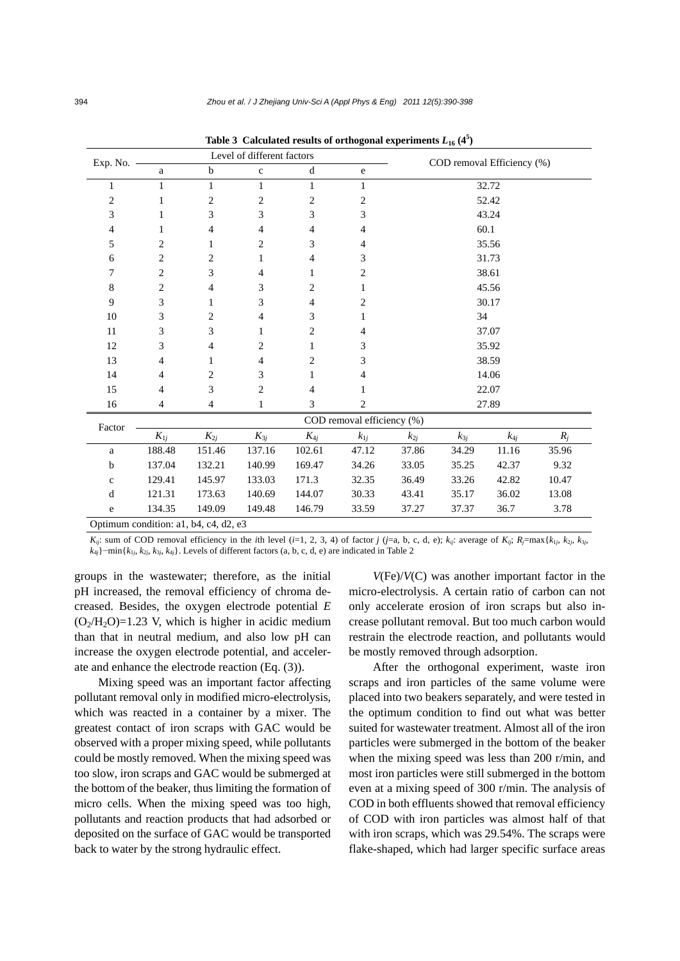| Exp. No.                              |                            |                | Level of different factors |                |                |          |          | COD removal Efficiency (%) |       |  |
|---------------------------------------|----------------------------|----------------|----------------------------|----------------|----------------|----------|----------|----------------------------|-------|--|
|                                       | $\rm{a}$                   | $\mathbf b$    | $\mathbf c$                | $\mathbf d$    | $\rm e$        |          |          |                            |       |  |
| 1                                     | 1                          | 1              | $\mathbf{1}$               | 1              | 1              | 32.72    |          |                            |       |  |
| 2                                     | 1                          | $\overline{c}$ | $\overline{c}$             | $\overline{2}$ | $\overline{c}$ |          |          | 52.42                      |       |  |
| 3                                     | 1                          | 3              | 3                          | 3              | 3              |          |          | 43.24                      |       |  |
| 4                                     | 1                          | 4              | $\overline{4}$             | $\overline{4}$ | $\overline{4}$ |          |          | 60.1                       |       |  |
| 5                                     | 2                          | 1              | $\mathbf{2}$               | 3              | $\overline{4}$ |          |          | 35.56                      |       |  |
| 6                                     | $\overline{c}$             | $\overline{c}$ | $\mathbf{1}$               | 4              | 3              |          |          | 31.73                      |       |  |
| 7                                     | $\overline{2}$             | 3              | 4                          | 1              | 2              |          |          | 38.61                      |       |  |
| $\,8$                                 | 2                          | 4              | 3                          | 2              | 1              |          |          | 45.56                      |       |  |
| 9                                     | 3                          | 1              | 3                          | $\overline{4}$ | 2              |          |          | 30.17                      |       |  |
| 10                                    | 3                          | 2              | 4                          | 3              | 1              | 34       |          |                            |       |  |
| 11                                    | 3                          | 3              | 1                          | 2              | 4              | 37.07    |          |                            |       |  |
| 12                                    | 3                          | 4              | 2                          | 1              | 3              | 35.92    |          |                            |       |  |
| 13                                    | 4                          | 1              | $\overline{4}$             | $\overline{2}$ | 3              | 38.59    |          |                            |       |  |
| 14                                    | 4                          | 2              | 3                          | 1              | $\overline{4}$ |          |          | 14.06                      |       |  |
| 15                                    | 4                          | 3              | $\boldsymbol{2}$           | 4              | 1              | 22.07    |          |                            |       |  |
| 16                                    | 4                          | 4              | $\mathbf{1}$               | 3              | $\overline{c}$ |          |          | 27.89                      |       |  |
|                                       | COD removal efficiency (%) |                |                            |                |                |          |          |                            |       |  |
| Factor                                | $K_{1j}$                   | $K_{2j}$       | $K_{3j}$                   | $K_{4j}$       | $k_{1j}$       | $k_{2j}$ | $k_{3j}$ | $k_{4j}$                   | $R_j$ |  |
| a                                     | 188.48                     | 151.46         | 137.16                     | 102.61         | 47.12          | 37.86    | 34.29    | 11.16                      | 35.96 |  |
| $\mathbf b$                           | 137.04                     | 132.21         | 140.99                     | 169.47         | 34.26          | 33.05    | 35.25    | 42.37                      | 9.32  |  |
| $\mathbf c$                           | 129.41                     | 145.97         | 133.03                     | 171.3          | 32.35          | 36.49    | 33.26    | 42.82                      | 10.47 |  |
| d                                     | 121.31                     | 173.63         | 140.69                     | 144.07         | 30.33          | 43.41    | 35.17    | 36.02                      | 13.08 |  |
| e                                     | 134.35                     | 149.09         | 149.48                     | 146.79         | 33.59          | 37.27    | 37.37    | 36.7                       | 3.78  |  |
| Optimum condition: a1, b4, c4, d2, e3 |                            |                |                            |                |                |          |          |                            |       |  |

Table 3 Calculated results of orthogonal experiments  $L_{16}$  (4<sup>5</sup>)

 $K_{ij}$ : sum of COD removal efficiency in the *i*th level (*i*=1, 2, 3, 4) of factor *j* (*j*=a, b, c, d, e);  $k_{ij}$ : average of  $K_{ij}$ ;  $R_j = \max\{k_{1j}, k_{2j}, k_{3j}, k_{4j}, k_{5j}, k_{6j}, k_{7j}, k_{8j}, k_{9j}, k_{9j}, k_{1j}, k_{1j}, k_{1j}, k_{1j}, k_{1j}, k_{$  $k_{4j}$ }−min{ $k_{1j}$ ,  $k_{2j}$ ,  $k_{3j}$ ,  $k_{4j}$ }. Levels of different factors (a, b, c, d, e) are indicated in Table 2

groups in the wastewater; therefore, as the initial pH increased, the removal efficiency of chroma decreased. Besides, the oxygen electrode potential *E*   $(O<sub>2</sub>/H<sub>2</sub>O)=1.23$  V, which is higher in acidic medium than that in neutral medium, and also low pH can increase the oxygen electrode potential, and accelerate and enhance the electrode reaction (Eq. (3)).

Mixing speed was an important factor affecting pollutant removal only in modified micro-electrolysis, which was reacted in a container by a mixer. The greatest contact of iron scraps with GAC would be observed with a proper mixing speed, while pollutants could be mostly removed. When the mixing speed was too slow, iron scraps and GAC would be submerged at the bottom of the beaker, thus limiting the formation of micro cells. When the mixing speed was too high, pollutants and reaction products that had adsorbed or deposited on the surface of GAC would be transported back to water by the strong hydraulic effect.

*V*(Fe)/*V*(C) was another important factor in the micro-electrolysis. A certain ratio of carbon can not only accelerate erosion of iron scraps but also increase pollutant removal. But too much carbon would restrain the electrode reaction, and pollutants would be mostly removed through adsorption.

After the orthogonal experiment, waste iron scraps and iron particles of the same volume were placed into two beakers separately, and were tested in the optimum condition to find out what was better suited for wastewater treatment. Almost all of the iron particles were submerged in the bottom of the beaker when the mixing speed was less than 200 r/min, and most iron particles were still submerged in the bottom even at a mixing speed of 300 r/min. The analysis of COD in both effluents showed that removal efficiency of COD with iron particles was almost half of that with iron scraps, which was 29.54%. The scraps were flake-shaped, which had larger specific surface areas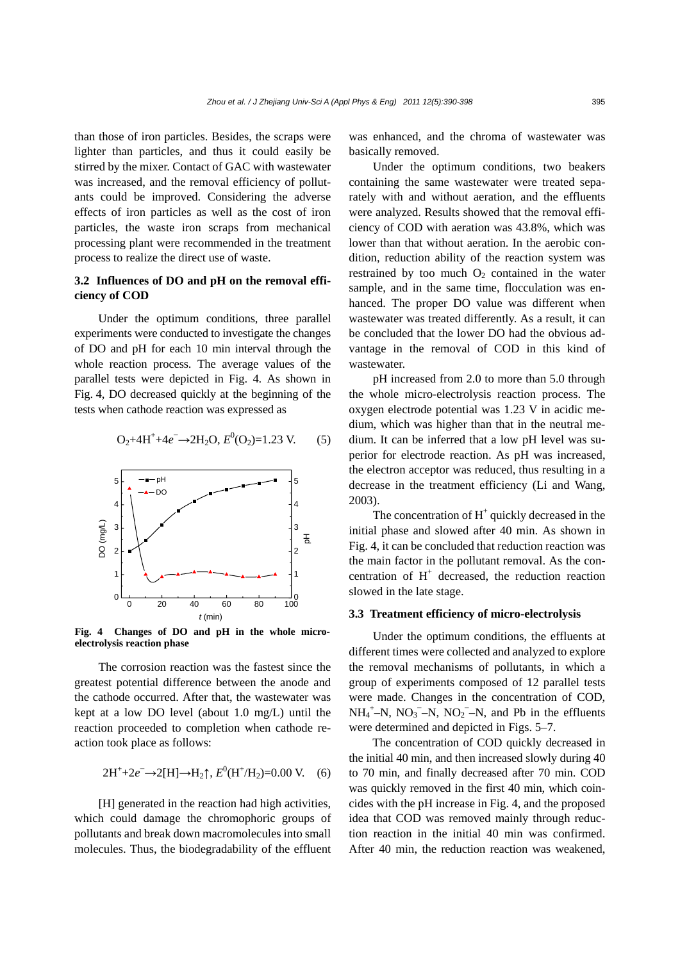than those of iron particles. Besides, the scraps were lighter than particles, and thus it could easily be stirred by the mixer. Contact of GAC with wastewater was increased, and the removal efficiency of pollutants could be improved. Considering the adverse effects of iron particles as well as the cost of iron particles, the waste iron scraps from mechanical processing plant were recommended in the treatment process to realize the direct use of waste.

# **3.2 Influences of DO and pH on the removal efficiency of COD**

Under the optimum conditions, three parallel experiments were conducted to investigate the changes of DO and pH for each 10 min interval through the whole reaction process. The average values of the parallel tests were depicted in Fig. 4. As shown in Fig. 4, DO decreased quickly at the beginning of the tests when cathode reaction was expressed as

$$
O_2 + 4H^+ + 4e^- \rightarrow 2H_2O, E^0(O_2) = 1.23 \text{ V.}
$$
 (5)



**Fig. 4 Changes of DO and pH in the whole microelectrolysis reaction phase**

The corrosion reaction was the fastest since the greatest potential difference between the anode and the cathode occurred. After that, the wastewater was kept at a low DO level (about 1.0 mg/L) until the reaction proceeded to completion when cathode reaction took place as follows:

$$
2H^{+} + 2e^{-} \rightarrow 2[H] \rightarrow H_{2} \uparrow, E^{0}(H^{+}/H_{2}) = 0.00 \text{ V.}
$$
 (6)

[H] generated in the reaction had high activities, which could damage the chromophoric groups of pollutants and break down macromolecules into small molecules. Thus, the biodegradability of the effluent was enhanced, and the chroma of wastewater was basically removed.

Under the optimum conditions, two beakers containing the same wastewater were treated separately with and without aeration, and the effluents were analyzed. Results showed that the removal efficiency of COD with aeration was 43.8%, which was lower than that without aeration. In the aerobic condition, reduction ability of the reaction system was restrained by too much  $O_2$  contained in the water sample, and in the same time, flocculation was enhanced. The proper DO value was different when wastewater was treated differently. As a result, it can be concluded that the lower DO had the obvious advantage in the removal of COD in this kind of wastewater.

pH increased from 2.0 to more than 5.0 through the whole micro-electrolysis reaction process. The oxygen electrode potential was 1.23 V in acidic medium, which was higher than that in the neutral medium. It can be inferred that a low pH level was superior for electrode reaction. As pH was increased, the electron acceptor was reduced, thus resulting in a decrease in the treatment efficiency (Li and Wang, 2003).

The concentration of  $H^+$  quickly decreased in the initial phase and slowed after 40 min. As shown in Fig. 4, it can be concluded that reduction reaction was the main factor in the pollutant removal. As the concentration of  $H^+$  decreased, the reduction reaction slowed in the late stage.

#### **3.3 Treatment efficiency of micro-electrolysis**

Under the optimum conditions, the effluents at different times were collected and analyzed to explore the removal mechanisms of pollutants, in which a group of experiments composed of 12 parallel tests were made. Changes in the concentration of COD,  $NH_4^+$ –N,  $NO_3^-$ –N,  $NO_2^-$ –N, and Pb in the effluents were determined and depicted in Figs. 5–7.

The concentration of COD quickly decreased in the initial 40 min, and then increased slowly during 40 to 70 min, and finally decreased after 70 min. COD was quickly removed in the first 40 min, which coincides with the pH increase in Fig. 4, and the proposed idea that COD was removed mainly through reduction reaction in the initial 40 min was confirmed. After 40 min, the reduction reaction was weakened,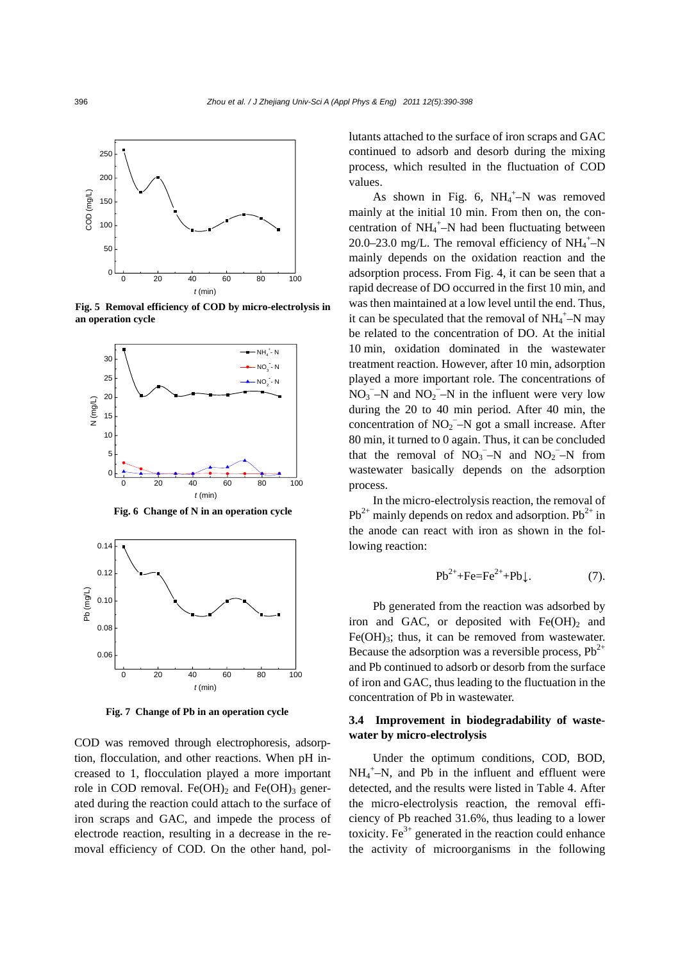

**Fig. 5 Removal efficiency of COD by micro-electrolysis in an operation cycle**



**Fig. 6 Change of N in an operation cycle**



**Fig. 7 Change of Pb in an operation cycle** 

COD was removed through electrophoresis, adsorption, flocculation, and other reactions. When pH increased to 1, flocculation played a more important role in COD removal. Fe(OH)<sub>2</sub> and Fe(OH)<sub>3</sub> generated during the reaction could attach to the surface of iron scraps and GAC, and impede the process of electrode reaction, resulting in a decrease in the removal efficiency of COD. On the other hand, pollutants attached to the surface of iron scraps and GAC continued to adsorb and desorb during the mixing process, which resulted in the fluctuation of COD values.

As shown in Fig. 6,  $NH_4^+$ -N was removed mainly at the initial 10 min. From then on, the concentration of  $NH_4^+$ -N had been fluctuating between 20.0–23.0 mg/L. The removal efficiency of  $NH_4^+$ –N mainly depends on the oxidation reaction and the adsorption process. From Fig. 4, it can be seen that a rapid decrease of DO occurred in the first 10 min, and was then maintained at a low level until the end. Thus, it can be speculated that the removal of  $NH_4^+$ –N may be related to the concentration of DO. At the initial 10 min, oxidation dominated in the wastewater treatment reaction. However, after 10 min, adsorption played a more important role. The concentrations of  $NO_3$ <sup>-</sup>-N and  $NO_2$ <sup>-</sup>-N in the influent were very low during the 20 to 40 min period. After 40 min, the concentration of  $NO_2$ <sup>-</sup>-N got a small increase. After 80 min, it turned to 0 again. Thus, it can be concluded that the removal of  $NO_3$ <sup>-</sup>-N and  $NO_2$ <sup>-</sup>-N from wastewater basically depends on the adsorption process.

In the micro-electrolysis reaction, the removal of  $Pb^{2+}$  mainly depends on redox and adsorption.  $Pb^{2+}$  in the anode can react with iron as shown in the following reaction:

$$
\text{Pb}^{2+} + \text{Fe} = \text{Fe}^{2+} + \text{Pb} \downarrow. \tag{7}.
$$

Pb generated from the reaction was adsorbed by iron and GAC, or deposited with  $Fe(OH)_{2}$  and  $Fe(OH)<sub>3</sub>$ ; thus, it can be removed from wastewater. Because the adsorption was a reversible process,  $Pb^{2+}$ and Pb continued to adsorb or desorb from the surface of iron and GAC, thus leading to the fluctuation in the concentration of Pb in wastewater.

## **3.4 Improvement in biodegradability of wastewater by micro-electrolysis**

Under the optimum conditions, COD, BOD,  $NH_4^+$ -N, and Pb in the influent and effluent were detected, and the results were listed in Table 4. After the micro-electrolysis reaction, the removal efficiency of Pb reached 31.6%, thus leading to a lower toxicity. Fe<sup>3+</sup> generated in the reaction could enhance the activity of microorganisms in the following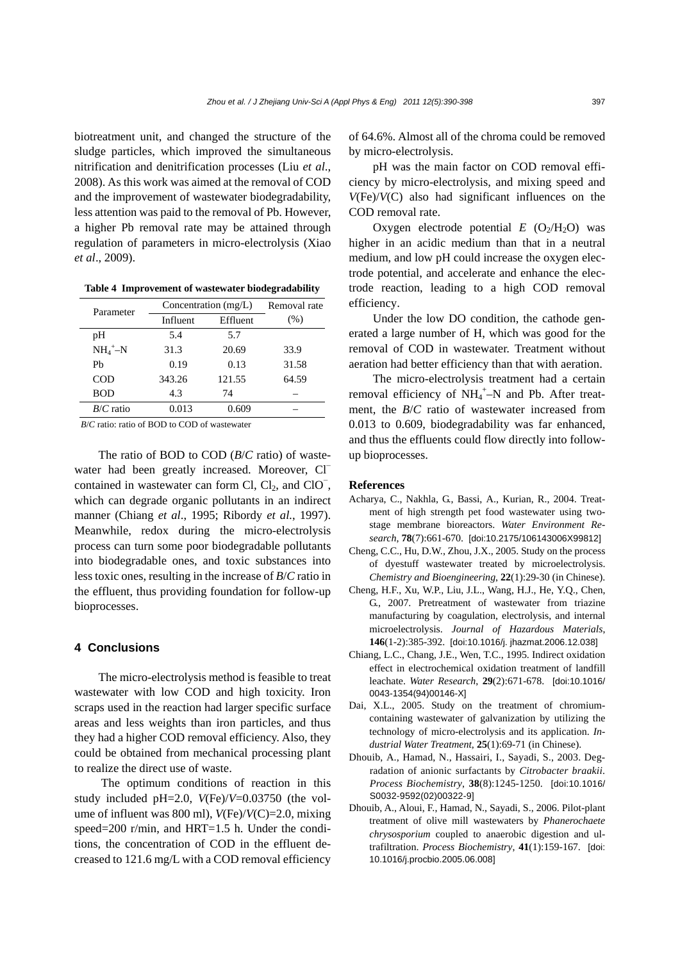biotreatment unit, and changed the structure of the sludge particles, which improved the simultaneous nitrification and denitrification processes (Liu *et al*., 2008). As this work was aimed at the removal of COD and the improvement of wastewater biodegradability, less attention was paid to the removal of Pb. However, a higher Pb removal rate may be attained through regulation of parameters in micro-electrolysis (Xiao *et al*., 2009).

**Table 4 Improvement of wastewater biodegradability**

| Parameter   | Concentration $(mg/L)$ | Removal rate |       |
|-------------|------------------------|--------------|-------|
|             | Influent               | Effluent     | (% )  |
| pH          | 5.4                    | 5.7          |       |
| $NH_4^+$ -N | 31.3                   | 20.69        | 33.9  |
| Ph          | 0.19                   | 0.13         | 31.58 |
| <b>COD</b>  | 343.26                 | 121.55       | 64.59 |
| <b>BOD</b>  | 4.3                    | 74           |       |
| $B/C$ ratio | 0.013                  | 0.609        |       |

*B*/*C* ratio: ratio of BOD to COD of wastewater

The ratio of BOD to COD (*B*/*C* ratio) of wastewater had been greatly increased. Moreover, Cl⊤ contained in wastewater can form Cl,  $Cl<sub>2</sub>$ , and  $ClO<sup>-</sup>$ , which can degrade organic pollutants in an indirect manner (Chiang *et al*., 1995; Ribordy *et al.*, 1997). Meanwhile, redox during the micro-electrolysis process can turn some poor biodegradable pollutants into biodegradable ones, and toxic substances into less toxic ones, resulting in the increase of *B*/*C* ratio in the effluent, thus providing foundation for follow-up bioprocesses.

## **4 Conclusions**

The micro-electrolysis method is feasible to treat wastewater with low COD and high toxicity. Iron scraps used in the reaction had larger specific surface areas and less weights than iron particles, and thus they had a higher COD removal efficiency. Also, they could be obtained from mechanical processing plant to realize the direct use of waste.

 The optimum conditions of reaction in this study included pH=2.0, *V*(Fe)/*V*=0.03750 (the volume of influent was 800 ml), *V*(Fe)/*V*(C)=2.0, mixing speed=200 r/min, and HRT=1.5 h. Under the conditions, the concentration of COD in the effluent decreased to 121.6 mg/L with a COD removal efficiency of 64.6%. Almost all of the chroma could be removed by micro-electrolysis.

pH was the main factor on COD removal efficiency by micro-electrolysis, and mixing speed and *V*(Fe)/*V*(C) also had significant influences on the COD removal rate.

Oxygen electrode potential  $E$  (O<sub>2</sub>/H<sub>2</sub>O) was higher in an acidic medium than that in a neutral medium, and low pH could increase the oxygen electrode potential, and accelerate and enhance the electrode reaction, leading to a high COD removal efficiency.

Under the low DO condition, the cathode generated a large number of H, which was good for the removal of COD in wastewater. Treatment without aeration had better efficiency than that with aeration.

The micro-electrolysis treatment had a certain removal efficiency of  $NH_4^+$ -N and Pb. After treatment, the *B*/*C* ratio of wastewater increased from 0.013 to 0.609, biodegradability was far enhanced, and thus the effluents could flow directly into followup bioprocesses.

#### **References**

- Acharya, C., Nakhla, G., Bassi, A., Kurian, R., 2004. Treatment of high strength pet food wastewater using twostage membrane bioreactors. *Water Environment Research*, **78**(7):661-670. [doi:10.2175/106143006X99812]
- Cheng, C.C., Hu, D.W., Zhou, J.X., 2005. Study on the process of dyestuff wastewater treated by microelectrolysis. *Chemistry and Bioengineering*, **22**(1):29-30 (in Chinese).
- Cheng, H.F., Xu, W.P., Liu, J.L., Wang, H.J., He, Y.Q., Chen, G., 2007. Pretreatment of wastewater from triazine manufacturing by coagulation, electrolysis, and internal microelectrolysis. *Journal of Hazardous Materials*, **146**(1-2):385-392. [doi:10.1016/j. jhazmat.2006.12.038]
- Chiang, L.C., Chang, J.E., Wen, T.C., 1995. Indirect oxidation effect in electrochemical oxidation treatment of landfill leachate. *Water Research*, **29**(2):671-678. [doi:10.1016/ 0043-1354(94)00146-X]
- Dai, X.L., 2005. Study on the treatment of chromiumcontaining wastewater of galvanization by utilizing the technology of micro-electrolysis and its application. *Industrial Water Treatment*, **25**(1):69-71 (in Chinese).
- Dhouib, A., Hamad, N., Hassairi, I., Sayadi, S., 2003. Degradation of anionic surfactants by *Citrobacter braakii*. *Process Biochemistry*, **38**(8):1245-1250. [doi:10.1016/ S0032-9592(02)00322-9]
- Dhouib, A., Aloui, F., Hamad, N., Sayadi, S., 2006. Pilot-plant treatment of olive mill wastewaters by *Phanerochaete chrysosporium* coupled to anaerobic digestion and ultrafiltration. *Process Biochemistry*, **41**(1):159-167. [doi: 10.1016/j.procbio.2005.06.008]